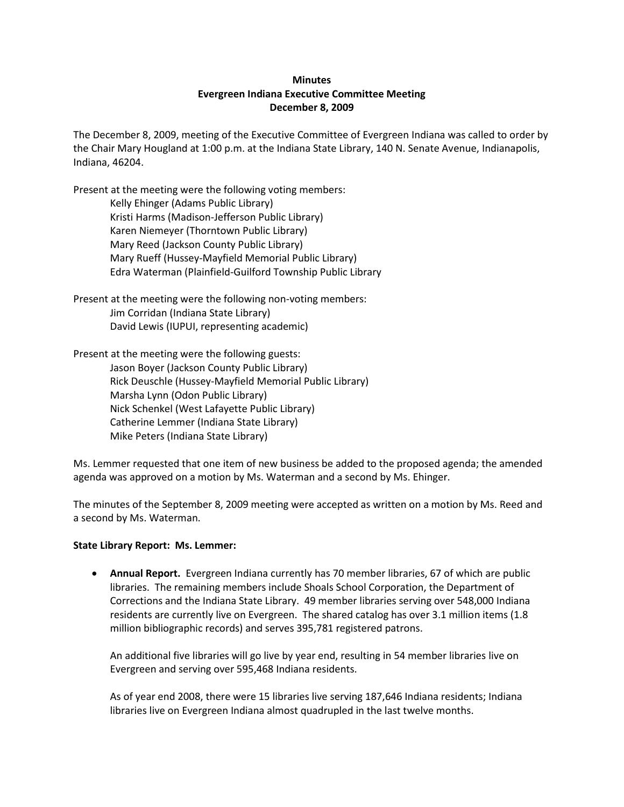# **Minutes Evergreen Indiana Executive Committee Meeting December 8, 2009**

The December 8, 2009, meeting of the Executive Committee of Evergreen Indiana was called to order by the Chair Mary Hougland at 1:00 p.m. at the Indiana State Library, 140 N. Senate Avenue, Indianapolis, Indiana, 46204.

Present at the meeting were the following voting members:

Kelly Ehinger (Adams Public Library) Kristi Harms (Madison-Jefferson Public Library) Karen Niemeyer (Thorntown Public Library) Mary Reed (Jackson County Public Library) Mary Rueff (Hussey-Mayfield Memorial Public Library) Edra Waterman (Plainfield-Guilford Township Public Library

Present at the meeting were the following non-voting members: Jim Corridan (Indiana State Library) David Lewis (IUPUI, representing academic)

Present at the meeting were the following guests: Jason Boyer (Jackson County Public Library) Rick Deuschle (Hussey-Mayfield Memorial Public Library) Marsha Lynn (Odon Public Library) Nick Schenkel (West Lafayette Public Library) Catherine Lemmer (Indiana State Library) Mike Peters (Indiana State Library)

Ms. Lemmer requested that one item of new business be added to the proposed agenda; the amended agenda was approved on a motion by Ms. Waterman and a second by Ms. Ehinger.

The minutes of the September 8, 2009 meeting were accepted as written on a motion by Ms. Reed and a second by Ms. Waterman.

## **State Library Report: Ms. Lemmer:**

 **Annual Report.** Evergreen Indiana currently has 70 member libraries, 67 of which are public libraries. The remaining members include Shoals School Corporation, the Department of Corrections and the Indiana State Library. 49 member libraries serving over 548,000 Indiana residents are currently live on Evergreen. The shared catalog has over 3.1 million items (1.8 million bibliographic records) and serves 395,781 registered patrons.

An additional five libraries will go live by year end, resulting in 54 member libraries live on Evergreen and serving over 595,468 Indiana residents.

As of year end 2008, there were 15 libraries live serving 187,646 Indiana residents; Indiana libraries live on Evergreen Indiana almost quadrupled in the last twelve months.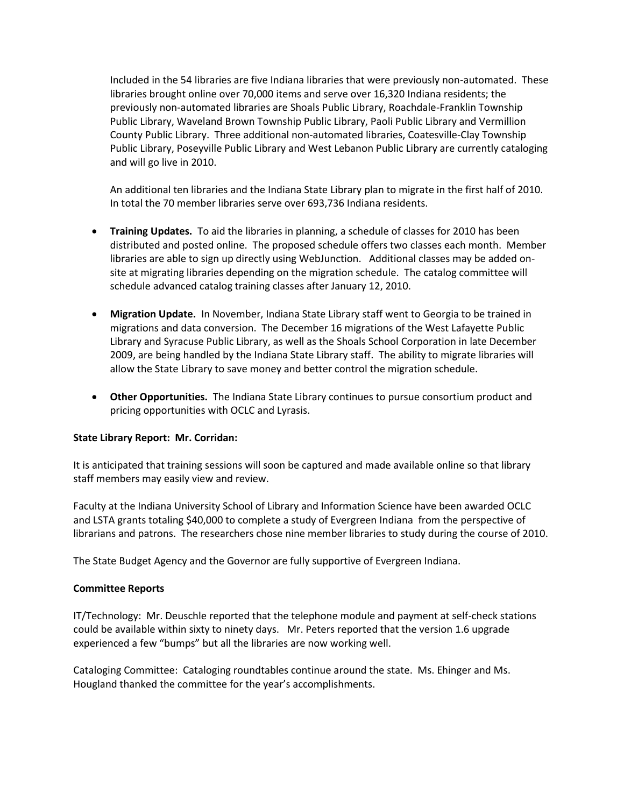Included in the 54 libraries are five Indiana libraries that were previously non-automated. These libraries brought online over 70,000 items and serve over 16,320 Indiana residents; the previously non-automated libraries are Shoals Public Library, Roachdale-Franklin Township Public Library, Waveland Brown Township Public Library, Paoli Public Library and Vermillion County Public Library. Three additional non-automated libraries, Coatesville-Clay Township Public Library, Poseyville Public Library and West Lebanon Public Library are currently cataloging and will go live in 2010.

An additional ten libraries and the Indiana State Library plan to migrate in the first half of 2010. In total the 70 member libraries serve over 693,736 Indiana residents.

- **Training Updates.** To aid the libraries in planning, a schedule of classes for 2010 has been distributed and posted online. The proposed schedule offers two classes each month. Member libraries are able to sign up directly using WebJunction. Additional classes may be added onsite at migrating libraries depending on the migration schedule. The catalog committee will schedule advanced catalog training classes after January 12, 2010.
- **Migration Update.** In November, Indiana State Library staff went to Georgia to be trained in migrations and data conversion. The December 16 migrations of the West Lafayette Public Library and Syracuse Public Library, as well as the Shoals School Corporation in late December 2009, are being handled by the Indiana State Library staff. The ability to migrate libraries will allow the State Library to save money and better control the migration schedule.
- **Other Opportunities.** The Indiana State Library continues to pursue consortium product and pricing opportunities with OCLC and Lyrasis.

## **State Library Report: Mr. Corridan:**

It is anticipated that training sessions will soon be captured and made available online so that library staff members may easily view and review.

Faculty at the Indiana University School of Library and Information Science have been awarded OCLC and LSTA grants totaling \$40,000 to complete a study of Evergreen Indiana from the perspective of librarians and patrons. The researchers chose nine member libraries to study during the course of 2010.

The State Budget Agency and the Governor are fully supportive of Evergreen Indiana.

### **Committee Reports**

IT/Technology: Mr. Deuschle reported that the telephone module and payment at self-check stations could be available within sixty to ninety days. Mr. Peters reported that the version 1.6 upgrade experienced a few "bumps" but all the libraries are now working well.

Cataloging Committee: Cataloging roundtables continue around the state. Ms. Ehinger and Ms. Hougland thanked the committee for the year's accomplishments.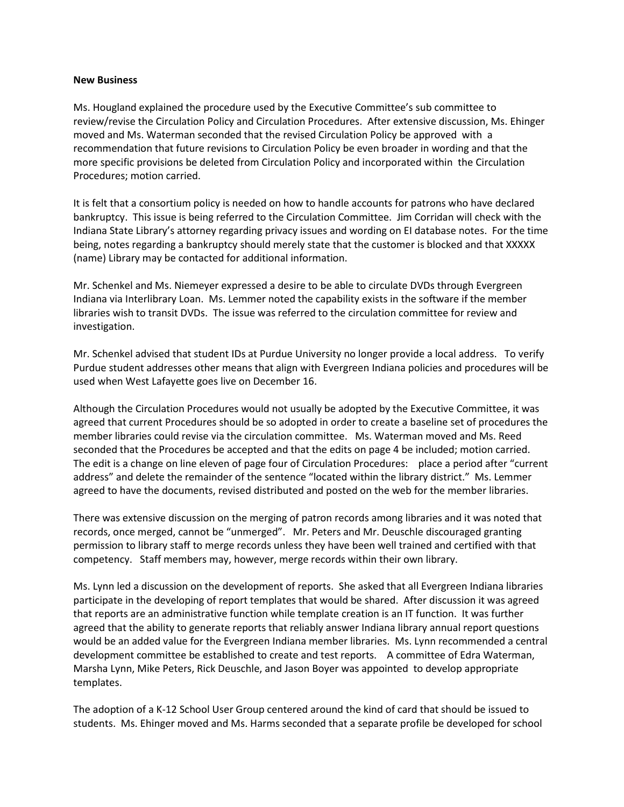#### **New Business**

Ms. Hougland explained the procedure used by the Executive Committee's sub committee to review/revise the Circulation Policy and Circulation Procedures. After extensive discussion, Ms. Ehinger moved and Ms. Waterman seconded that the revised Circulation Policy be approved with a recommendation that future revisions to Circulation Policy be even broader in wording and that the more specific provisions be deleted from Circulation Policy and incorporated within the Circulation Procedures; motion carried.

It is felt that a consortium policy is needed on how to handle accounts for patrons who have declared bankruptcy. This issue is being referred to the Circulation Committee. Jim Corridan will check with the Indiana State Library's attorney regarding privacy issues and wording on EI database notes. For the time being, notes regarding a bankruptcy should merely state that the customer is blocked and that XXXXX (name) Library may be contacted for additional information.

Mr. Schenkel and Ms. Niemeyer expressed a desire to be able to circulate DVDs through Evergreen Indiana via Interlibrary Loan. Ms. Lemmer noted the capability exists in the software if the member libraries wish to transit DVDs. The issue was referred to the circulation committee for review and investigation.

Mr. Schenkel advised that student IDs at Purdue University no longer provide a local address. To verify Purdue student addresses other means that align with Evergreen Indiana policies and procedures will be used when West Lafayette goes live on December 16.

Although the Circulation Procedures would not usually be adopted by the Executive Committee, it was agreed that current Procedures should be so adopted in order to create a baseline set of procedures the member libraries could revise via the circulation committee. Ms. Waterman moved and Ms. Reed seconded that the Procedures be accepted and that the edits on page 4 be included; motion carried. The edit is a change on line eleven of page four of Circulation Procedures: place a period after "current address" and delete the remainder of the sentence "located within the library district." Ms. Lemmer agreed to have the documents, revised distributed and posted on the web for the member libraries.

There was extensive discussion on the merging of patron records among libraries and it was noted that records, once merged, cannot be "unmerged". Mr. Peters and Mr. Deuschle discouraged granting permission to library staff to merge records unless they have been well trained and certified with that competency. Staff members may, however, merge records within their own library.

Ms. Lynn led a discussion on the development of reports. She asked that all Evergreen Indiana libraries participate in the developing of report templates that would be shared. After discussion it was agreed that reports are an administrative function while template creation is an IT function. It was further agreed that the ability to generate reports that reliably answer Indiana library annual report questions would be an added value for the Evergreen Indiana member libraries. Ms. Lynn recommended a central development committee be established to create and test reports. A committee of Edra Waterman, Marsha Lynn, Mike Peters, Rick Deuschle, and Jason Boyer was appointed to develop appropriate templates.

The adoption of a K-12 School User Group centered around the kind of card that should be issued to students. Ms. Ehinger moved and Ms. Harms seconded that a separate profile be developed for school